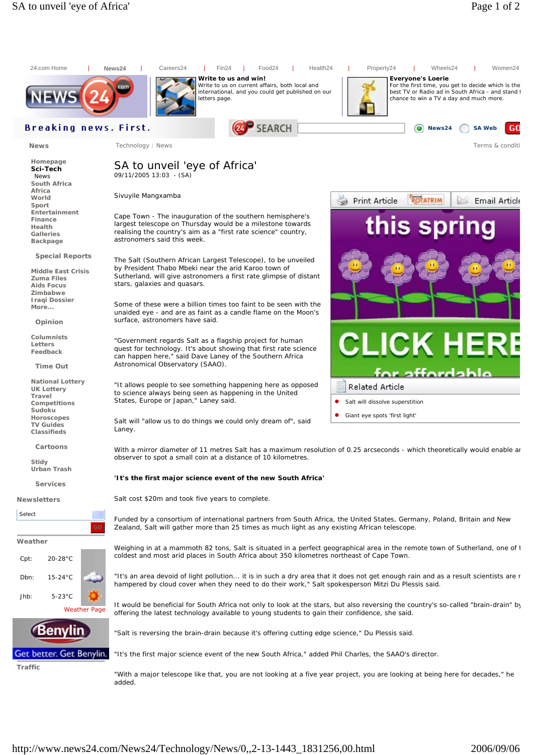